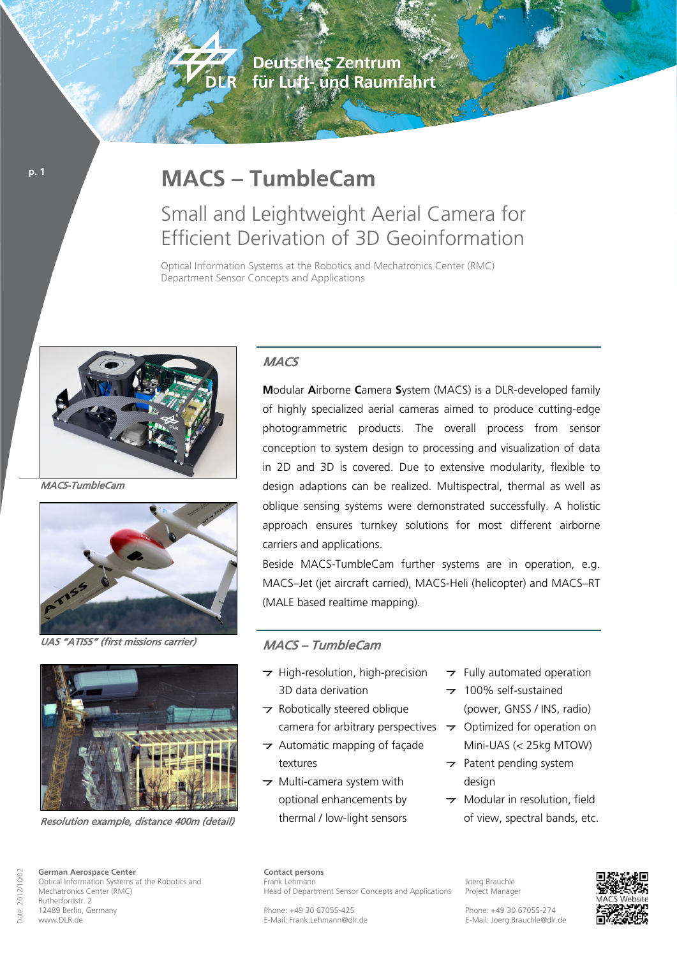**Deutsches Zentrum** für Luft- und Raumfahrt

# **MACS – TumbleCam**

**CONTRACTOR** 

DER

## Small and Leightweight Aerial Camera for Efficient Derivation of 3D Geoinformation

Optical Information Systems at the Robotics and Mechatronics Center (RMC) Department Sensor Concepts and Applications



MACS-TumbleCam

**p. 1**



UAS "ATISS" (first missions carrier)



Resolution example, distance 400m (detail)

### **MACS**

**M**odular **A**irborne **C**amera **S**ystem (MACS) is a DLR-developed family of highly specialized aerial cameras aimed to produce cutting-edge photogrammetric products. The overall process from sensor conception to system design to processing and visualization of data in 2D and 3D is covered. Due to extensive modularity, flexible to design adaptions can be realized. Multispectral, thermal as well as oblique sensing systems were demonstrated successfully. A holistic approach ensures turnkey solutions for most different airborne carriers and applications.

Beside MACS-TumbleCam further systems are in operation, e.g. MACS–Jet (jet aircraft carried), MACS-Heli (helicopter) and MACS–RT (MALE based realtime mapping).

#### MACS – TumbleCam

- $\rightarrow$  High-resolution, high-precision 3D data derivation
- $\rightarrow$  Robotically steered oblique
- $\rightarrow$  Automatic mapping of façade textures
- $\rightarrow$  Multi-camera system with optional enhancements by thermal / low-light sensors
- $\rightarrow$  Fully automated operation
- 100% self-sustained (power, GNSS / INS, radio)
- camera for arbitrary perspectives  $\rightarrow$  Optimized for operation on Mini-UAS (< 25kg MTOW)
	- $\rightarrow$  Patent pending system desian
	- $\rightarrow$  Modular in resolution, field of view, spectral bands, etc.

**Contact persons** Frank Lehmann Head of Department Sensor Concepts and Applications

Phone: +49 30 67055-425 E-Mail: Frank.Lehmann@dlr.de

Joerg Brauchle Project Manager